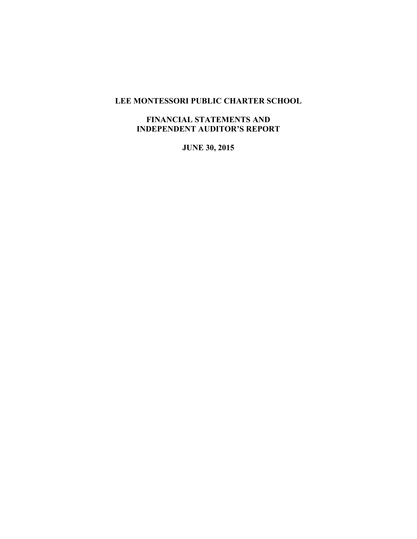# **LEE MONTESSORI PUBLIC CHARTER SCHOOL**

# **FINANCIAL STATEMENTS AND INDEPENDENT AUDITOR'S REPORT**

**JUNE 30, 2015**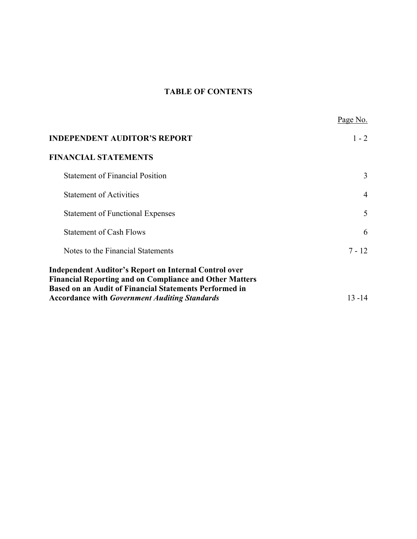# **TABLE OF CONTENTS**

|                                                                                                                                                                                                 | Page No.       |
|-------------------------------------------------------------------------------------------------------------------------------------------------------------------------------------------------|----------------|
| <b>INDEPENDENT AUDITOR'S REPORT</b>                                                                                                                                                             | $1 - 2$        |
| <b>FINANCIAL STATEMENTS</b>                                                                                                                                                                     |                |
| <b>Statement of Financial Position</b>                                                                                                                                                          | 3              |
| <b>Statement of Activities</b>                                                                                                                                                                  | $\overline{4}$ |
| <b>Statement of Functional Expenses</b>                                                                                                                                                         | 5              |
| <b>Statement of Cash Flows</b>                                                                                                                                                                  | 6              |
| Notes to the Financial Statements                                                                                                                                                               | $7 - 12$       |
| <b>Independent Auditor's Report on Internal Control over</b><br><b>Financial Reporting and on Compliance and Other Matters</b><br><b>Based on an Audit of Financial Statements Performed in</b> |                |
| <b>Accordance with Government Auditing Standards</b>                                                                                                                                            | $13 - 14$      |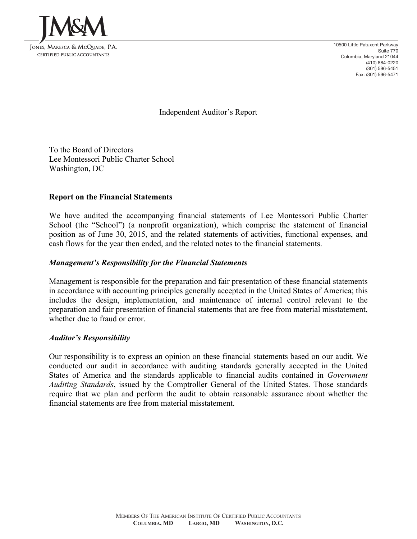

10500 Little Patuxent Parkway Suite 770 Columbia, Maryland 21044 (410) 884-0220 (301) 596-5451 Fax: (301) 596-5471

Independent Auditor's Report

To the Board of Directors Lee Montessori Public Charter School Washington, DC

## **Report on the Financial Statements**

We have audited the accompanying financial statements of Lee Montessori Public Charter School (the "School") (a nonprofit organization), which comprise the statement of financial position as of June 30, 2015, and the related statements of activities, functional expenses, and cash flows for the year then ended, and the related notes to the financial statements.

## *Management's Responsibility for the Financial Statements*

Management is responsible for the preparation and fair presentation of these financial statements in accordance with accounting principles generally accepted in the United States of America; this includes the design, implementation, and maintenance of internal control relevant to the preparation and fair presentation of financial statements that are free from material misstatement, whether due to fraud or error.

#### *Auditor's Responsibility*

Our responsibility is to express an opinion on these financial statements based on our audit. We conducted our audit in accordance with auditing standards generally accepted in the United States of America and the standards applicable to financial audits contained in *Government Auditing Standards*, issued by the Comptroller General of the United States. Those standards require that we plan and perform the audit to obtain reasonable assurance about whether the financial statements are free from material misstatement.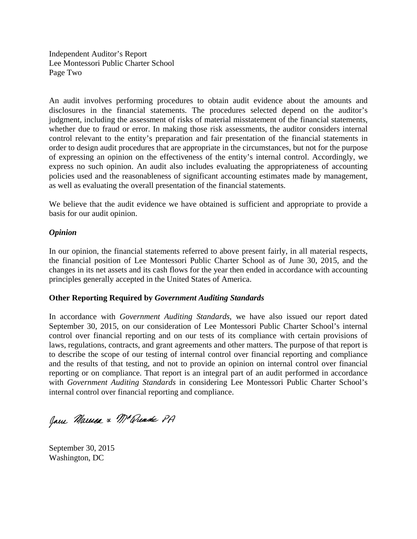Independent Auditor's Report Lee Montessori Public Charter School Page Two

An audit involves performing procedures to obtain audit evidence about the amounts and disclosures in the financial statements. The procedures selected depend on the auditor's judgment, including the assessment of risks of material misstatement of the financial statements, whether due to fraud or error. In making those risk assessments, the auditor considers internal control relevant to the entity's preparation and fair presentation of the financial statements in order to design audit procedures that are appropriate in the circumstances, but not for the purpose of expressing an opinion on the effectiveness of the entity's internal control. Accordingly, we express no such opinion. An audit also includes evaluating the appropriateness of accounting policies used and the reasonableness of significant accounting estimates made by management, as well as evaluating the overall presentation of the financial statements.

We believe that the audit evidence we have obtained is sufficient and appropriate to provide a basis for our audit opinion.

#### *Opinion*

In our opinion, the financial statements referred to above present fairly, in all material respects, the financial position of Lee Montessori Public Charter School as of June 30, 2015, and the changes in its net assets and its cash flows for the year then ended in accordance with accounting principles generally accepted in the United States of America.

#### **Other Reporting Required by** *Government Auditing Standards*

In accordance with *Government Auditing Standards*, we have also issued our report dated September 30, 2015, on our consideration of Lee Montessori Public Charter School's internal control over financial reporting and on our tests of its compliance with certain provisions of laws, regulations, contracts, and grant agreements and other matters. The purpose of that report is to describe the scope of our testing of internal control over financial reporting and compliance and the results of that testing, and not to provide an opinion on internal control over financial reporting or on compliance. That report is an integral part of an audit performed in accordance with *Government Auditing Standards* in considering Lee Montessori Public Charter School's internal control over financial reporting and compliance.

Jam Marma & Mc anade PA

September 30, 2015 Washington, DC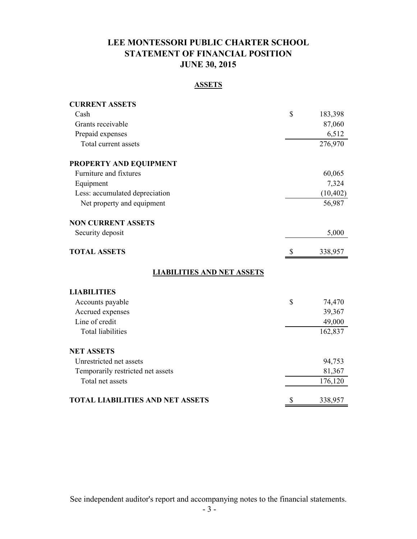# **LEE MONTESSORI PUBLIC CHARTER SCHOOL STATEMENT OF FINANCIAL POSITION JUNE 30, 2015**

## **ASSETS**

| <b>CURRENT ASSETS</b>                   |             |           |
|-----------------------------------------|-------------|-----------|
| Cash                                    | \$          | 183,398   |
| Grants receivable                       |             | 87,060    |
| Prepaid expenses                        |             | 6,512     |
| Total current assets                    |             | 276,970   |
| PROPERTY AND EQUIPMENT                  |             |           |
| Furniture and fixtures                  |             | 60,065    |
| Equipment                               |             | 7,324     |
| Less: accumulated depreciation          |             | (10, 402) |
| Net property and equipment              |             | 56,987    |
| <b>NON CURRENT ASSETS</b>               |             |           |
| Security deposit                        |             | 5,000     |
| <b>TOTAL ASSETS</b>                     | \$          | 338,957   |
| <b>LIABILITIES AND NET ASSETS</b>       |             |           |
| <b>LIABILITIES</b>                      |             |           |
| Accounts payable                        | $\mathbf S$ | 74,470    |
| Accrued expenses                        |             | 39,367    |
| Line of credit                          |             | 49,000    |
| <b>Total liabilities</b>                |             | 162,837   |
| <b>NET ASSETS</b>                       |             |           |
| Unrestricted net assets                 |             | 94,753    |
| Temporarily restricted net assets       |             | 81,367    |
| Total net assets                        |             | 176,120   |
| <b>TOTAL LIABILITIES AND NET ASSETS</b> | \$          | 338,957   |

See independent auditor's report and accompanying notes to the financial statements.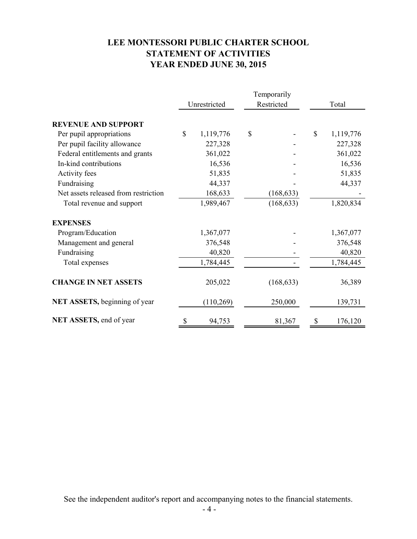# **LEE MONTESSORI PUBLIC CHARTER SCHOOL STATEMENT OF ACTIVITIES YEAR ENDED JUNE 30, 2015**

|                                      | Temporarily |              |    |            |    |           |
|--------------------------------------|-------------|--------------|----|------------|----|-----------|
|                                      |             | Unrestricted |    | Restricted |    | Total     |
| <b>REVENUE AND SUPPORT</b>           |             |              |    |            |    |           |
| Per pupil appropriations             | \$          | 1,119,776    | \$ |            | \$ | 1,119,776 |
| Per pupil facility allowance         |             | 227,328      |    |            |    | 227,328   |
| Federal entitlements and grants      |             | 361,022      |    |            |    | 361,022   |
| In-kind contributions                |             | 16,536       |    |            |    | 16,536    |
| Activity fees                        |             | 51,835       |    |            |    | 51,835    |
| Fundraising                          |             | 44,337       |    |            |    | 44,337    |
| Net assets released from restriction |             | 168,633      |    | (168, 633) |    |           |
| Total revenue and support            |             | 1,989,467    |    | (168, 633) |    | 1,820,834 |
| <b>EXPENSES</b>                      |             |              |    |            |    |           |
| Program/Education                    |             | 1,367,077    |    |            |    | 1,367,077 |
| Management and general               |             | 376,548      |    |            |    | 376,548   |
| Fundraising                          |             | 40,820       |    |            |    | 40,820    |
| Total expenses                       |             | 1,784,445    |    |            |    | 1,784,445 |
| <b>CHANGE IN NET ASSETS</b>          |             | 205,022      |    | (168, 633) |    | 36,389    |
| <b>NET ASSETS, beginning of year</b> |             | (110, 269)   |    | 250,000    |    | 139,731   |
| NET ASSETS, end of year              | \$          | 94,753       |    | 81,367     | \$ | 176,120   |

See the independent auditor's report and accompanying notes to the financial statements.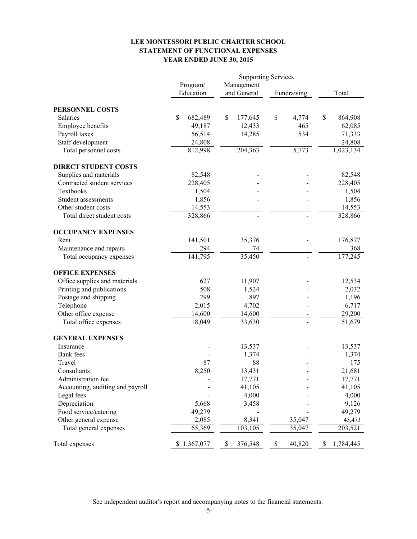#### **LEE MONTESSORI PUBLIC CHARTER SCHOOL STATEMENT OF FUNCTIONAL EXPENSES YEAR ENDED JUNE 30, 2015**

|                                  |                      | <b>Supporting Services</b> |              |                 |
|----------------------------------|----------------------|----------------------------|--------------|-----------------|
|                                  | Program/             | Management                 |              |                 |
|                                  | Education            | and General                | Fundraising  | Total           |
| <b>PERSONNEL COSTS</b>           |                      |                            |              |                 |
| Salaries                         | \$<br>682,489        | \$<br>177,645              | \$<br>4,774  | \$<br>864,908   |
| Employee benefits                | 49,187               | 12,433                     | 465          | 62,085          |
| Payroll taxes                    | 56,514               | 14,285                     | 534          | 71,333          |
| Staff development                | 24,808               |                            |              | 24,808          |
| Total personnel costs            | 812,998              | 204,363                    | 5,773        | 1,023,134       |
| <b>DIRECT STUDENT COSTS</b>      |                      |                            |              |                 |
| Supplies and materials           | 82,548               |                            |              | 82,548          |
| Contracted student services      | 228,405              |                            |              | 228,405         |
| Textbooks                        | 1,504                |                            |              | 1,504           |
| Student assessments              | 1,856                |                            |              | 1,856           |
| Other student costs              | 14,553               |                            |              | 14,553          |
| Total direct student costs       | 328,866              |                            |              | 328,866         |
| <b>OCCUPANCY EXPENSES</b>        |                      |                            |              |                 |
| Rent                             | 141,501              | 35,376                     |              | 176,877         |
| Maintenance and repairs          | 294                  | 74                         |              | 368             |
| Total occupancy expenses         | $\overline{141,795}$ | 35,450                     |              | 177,245         |
| <b>OFFICE EXPENSES</b>           |                      |                            |              |                 |
| Office supplies and materials    | 627                  | 11,907                     |              | 12,534          |
| Printing and publications        | 508                  | 1,524                      |              | 2,032           |
| Postage and shipping             | 299                  | 897                        |              | 1,196           |
| Telephone                        | 2,015                | 4,702                      |              | 6,717           |
| Other office expense             | 14,600               | 14,600                     |              | 29,200          |
| Total office expenses            | 18,049               | 33,630                     |              | 51,679          |
| <b>GENERAL EXPENSES</b>          |                      |                            |              |                 |
| Insurance                        |                      | 13,537                     |              | 13,537          |
| <b>Bank</b> fees                 |                      | 1,374                      |              | 1,374           |
| Travel                           | 87                   | 88                         |              | 175             |
| Consultants                      | 8,250                | 13,431                     |              | 21,681          |
| Administration fee               |                      | 17,771                     |              | 17,771          |
| Accounting, auditing and payroll |                      | 41,105                     |              | 41,105          |
| Legal fees                       |                      | 4,000                      |              | 4,000           |
| Depreciation                     | 5,668                | 3,458                      |              | 9,126           |
| Food service/catering            | 49,279               |                            |              | 49,279          |
| Other general expense            | 2,085                | 8,341                      | 35,047       | 45,473          |
| Total general expenses           | 65,369               | 103,105                    | 35,047       | 203,521         |
| Total expenses                   | \$1,367,077          | 376,548<br>\$              | \$<br>40,820 | \$<br>1,784,445 |

See independent auditor's report and accompanying notes to the financial statements.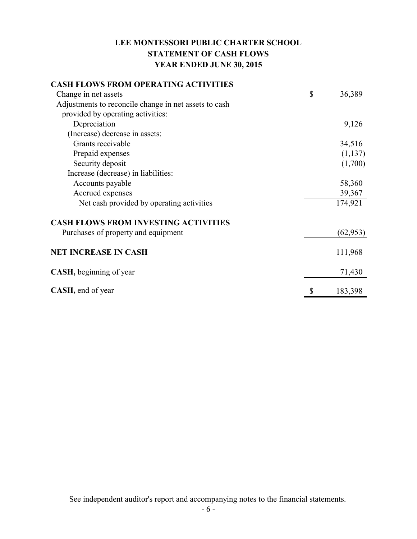# **LEE MONTESSORI PUBLIC CHARTER SCHOOL STATEMENT OF CASH FLOWS YEAR ENDED JUNE 30, 2015**

# **CASH FLOWS FROM OPERATING ACTIVITIES**

| Change in net assets                                  | \$<br>36,389  |
|-------------------------------------------------------|---------------|
| Adjustments to reconcile change in net assets to cash |               |
| provided by operating activities:                     |               |
| Depreciation                                          | 9,126         |
| (Increase) decrease in assets:                        |               |
| Grants receivable                                     | 34,516        |
| Prepaid expenses                                      | (1, 137)      |
| Security deposit                                      | (1,700)       |
| Increase (decrease) in liabilities:                   |               |
| Accounts payable                                      | 58,360        |
| Accrued expenses                                      | 39,367        |
| Net cash provided by operating activities             | 174,921       |
| <b>CASH FLOWS FROM INVESTING ACTIVITIES</b>           |               |
| Purchases of property and equipment                   | (62, 953)     |
| <b>NET INCREASE IN CASH</b>                           | 111,968       |
| <b>CASH</b> , beginning of year                       | 71,430        |
| <b>CASH</b> , end of year                             | \$<br>183,398 |

See independent auditor's report and accompanying notes to the financial statements.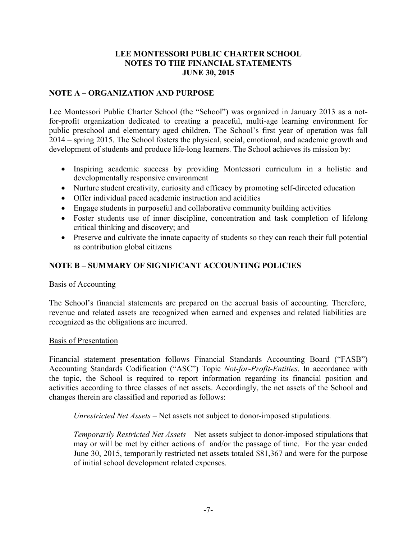## **NOTE A – ORGANIZATION AND PURPOSE**

Lee Montessori Public Charter School (the "School") was organized in January 2013 as a notfor-profit organization dedicated to creating a peaceful, multi-age learning environment for public preschool and elementary aged children. The School's first year of operation was fall 2014 – spring 2015. The School fosters the physical, social, emotional, and academic growth and development of students and produce life-long learners. The School achieves its mission by:

- Inspiring academic success by providing Montessori curriculum in a holistic and developmentally responsive environment
- Nurture student creativity, curiosity and efficacy by promoting self-directed education
- Offer individual paced academic instruction and acidities
- Engage students in purposeful and collaborative community building activities
- Foster students use of inner discipline, concentration and task completion of lifelong critical thinking and discovery; and
- Preserve and cultivate the innate capacity of students so they can reach their full potential as contribution global citizens

# **NOTE B – SUMMARY OF SIGNIFICANT ACCOUNTING POLICIES**

#### Basis of Accounting

The School's financial statements are prepared on the accrual basis of accounting. Therefore, revenue and related assets are recognized when earned and expenses and related liabilities are recognized as the obligations are incurred.

#### Basis of Presentation

Financial statement presentation follows Financial Standards Accounting Board ("FASB") Accounting Standards Codification ("ASC") Topic *Not-for-Profit-Entities*. In accordance with the topic, the School is required to report information regarding its financial position and activities according to three classes of net assets. Accordingly, the net assets of the School and changes therein are classified and reported as follows:

*Unrestricted Net Assets* – Net assets not subject to donor-imposed stipulations.

*Temporarily Restricted Net Assets* – Net assets subject to donor-imposed stipulations that may or will be met by either actions of and/or the passage of time. For the year ended June 30, 2015, temporarily restricted net assets totaled \$81,367 and were for the purpose of initial school development related expenses.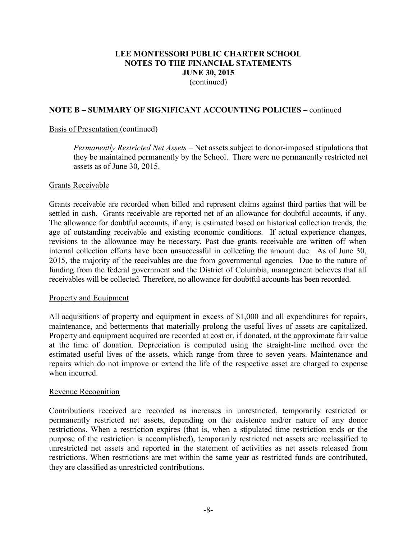## **NOTE B – SUMMARY OF SIGNIFICANT ACCOUNTING POLICIES –** continued

#### Basis of Presentation (continued)

*Permanently Restricted Net Assets* – Net assets subject to donor-imposed stipulations that they be maintained permanently by the School. There were no permanently restricted net assets as of June 30, 2015.

#### Grants Receivable

Grants receivable are recorded when billed and represent claims against third parties that will be settled in cash. Grants receivable are reported net of an allowance for doubtful accounts, if any. The allowance for doubtful accounts, if any, is estimated based on historical collection trends, the age of outstanding receivable and existing economic conditions. If actual experience changes, revisions to the allowance may be necessary. Past due grants receivable are written off when internal collection efforts have been unsuccessful in collecting the amount due. As of June 30, 2015, the majority of the receivables are due from governmental agencies. Due to the nature of funding from the federal government and the District of Columbia, management believes that all receivables will be collected. Therefore, no allowance for doubtful accounts has been recorded.

#### Property and Equipment

All acquisitions of property and equipment in excess of \$1,000 and all expenditures for repairs, maintenance, and betterments that materially prolong the useful lives of assets are capitalized. Property and equipment acquired are recorded at cost or, if donated, at the approximate fair value at the time of donation. Depreciation is computed using the straight-line method over the estimated useful lives of the assets, which range from three to seven years. Maintenance and repairs which do not improve or extend the life of the respective asset are charged to expense when incurred

#### Revenue Recognition

Contributions received are recorded as increases in unrestricted, temporarily restricted or permanently restricted net assets, depending on the existence and/or nature of any donor restrictions. When a restriction expires (that is, when a stipulated time restriction ends or the purpose of the restriction is accomplished), temporarily restricted net assets are reclassified to unrestricted net assets and reported in the statement of activities as net assets released from restrictions. When restrictions are met within the same year as restricted funds are contributed, they are classified as unrestricted contributions.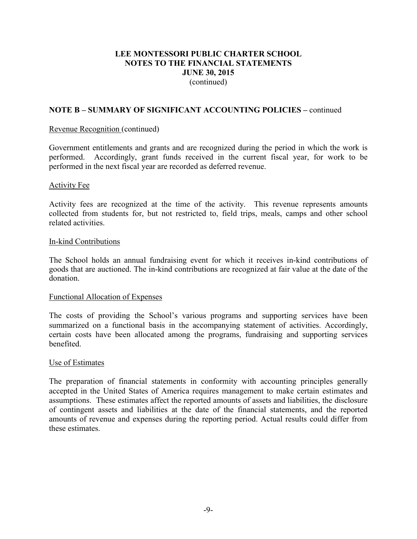#### **NOTE B – SUMMARY OF SIGNIFICANT ACCOUNTING POLICIES –** continued

#### Revenue Recognition (continued)

Government entitlements and grants and are recognized during the period in which the work is performed. Accordingly, grant funds received in the current fiscal year, for work to be performed in the next fiscal year are recorded as deferred revenue.

#### Activity Fee

Activity fees are recognized at the time of the activity. This revenue represents amounts collected from students for, but not restricted to, field trips, meals, camps and other school related activities.

#### In-kind Contributions

The School holds an annual fundraising event for which it receives in-kind contributions of goods that are auctioned. The in-kind contributions are recognized at fair value at the date of the donation.

#### Functional Allocation of Expenses

The costs of providing the School's various programs and supporting services have been summarized on a functional basis in the accompanying statement of activities. Accordingly, certain costs have been allocated among the programs, fundraising and supporting services benefited.

#### Use of Estimates

The preparation of financial statements in conformity with accounting principles generally accepted in the United States of America requires management to make certain estimates and assumptions. These estimates affect the reported amounts of assets and liabilities, the disclosure of contingent assets and liabilities at the date of the financial statements, and the reported amounts of revenue and expenses during the reporting period. Actual results could differ from these estimates.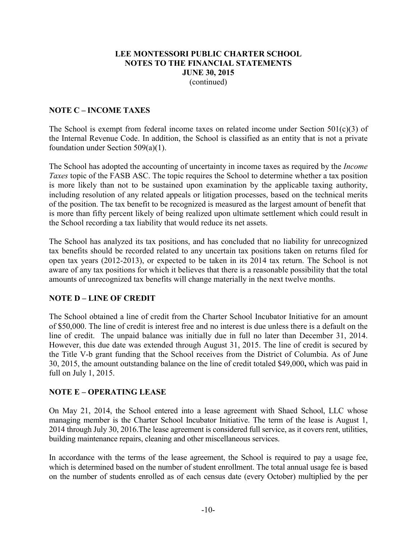# **NOTE C – INCOME TAXES**

The School is exempt from federal income taxes on related income under Section  $501(c)(3)$  of the Internal Revenue Code. In addition, the School is classified as an entity that is not a private foundation under Section 509(a)(1).

The School has adopted the accounting of uncertainty in income taxes as required by the *Income Taxes* topic of the FASB ASC. The topic requires the School to determine whether a tax position is more likely than not to be sustained upon examination by the applicable taxing authority, including resolution of any related appeals or litigation processes, based on the technical merits of the position. The tax benefit to be recognized is measured as the largest amount of benefit that is more than fifty percent likely of being realized upon ultimate settlement which could result in the School recording a tax liability that would reduce its net assets.

The School has analyzed its tax positions, and has concluded that no liability for unrecognized tax benefits should be recorded related to any uncertain tax positions taken on returns filed for open tax years (2012-2013), or expected to be taken in its 2014 tax return. The School is not aware of any tax positions for which it believes that there is a reasonable possibility that the total amounts of unrecognized tax benefits will change materially in the next twelve months.

#### **NOTE D – LINE OF CREDIT**

The School obtained a line of credit from the Charter School Incubator Initiative for an amount of \$50,000. The line of credit is interest free and no interest is due unless there is a default on the line of credit. The unpaid balance was initially due in full no later than December 31, 2014. However, this due date was extended through August 31, 2015. The line of credit is secured by the Title V-b grant funding that the School receives from the District of Columbia. As of June 30, 2015, the amount outstanding balance on the line of credit totaled \$49,000**,** which was paid in full on July 1, 2015.

#### **NOTE E – OPERATING LEASE**

On May 21, 2014, the School entered into a lease agreement with Shaed School, LLC whose managing member is the Charter School Incubator Initiative. The term of the lease is August 1, 2014 through July 30, 2016.The lease agreement is considered full service, as it covers rent, utilities, building maintenance repairs, cleaning and other miscellaneous services.

In accordance with the terms of the lease agreement, the School is required to pay a usage fee, which is determined based on the number of student enrollment. The total annual usage fee is based on the number of students enrolled as of each census date (every October) multiplied by the per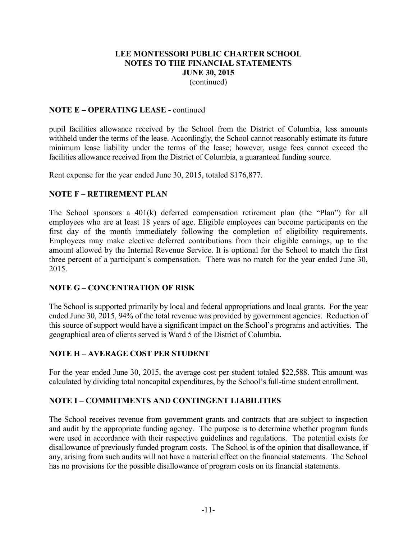#### **NOTE E – OPERATING LEASE -** continued

pupil facilities allowance received by the School from the District of Columbia, less amounts withheld under the terms of the lease. Accordingly, the School cannot reasonably estimate its future minimum lease liability under the terms of the lease; however, usage fees cannot exceed the facilities allowance received from the District of Columbia, a guaranteed funding source.

Rent expense for the year ended June 30, 2015, totaled \$176,877.

#### **NOTE F – RETIREMENT PLAN**

The School sponsors a 401(k) deferred compensation retirement plan (the "Plan") for all employees who are at least 18 years of age. Eligible employees can become participants on the first day of the month immediately following the completion of eligibility requirements. Employees may make elective deferred contributions from their eligible earnings, up to the amount allowed by the Internal Revenue Service. It is optional for the School to match the first three percent of a participant's compensation. There was no match for the year ended June 30, 2015.

# **NOTE G – CONCENTRATION OF RISK**

The School is supported primarily by local and federal appropriations and local grants. For the year ended June 30, 2015, 94% of the total revenue was provided by government agencies. Reduction of this source of support would have a significant impact on the School's programs and activities. The geographical area of clients served is Ward 5 of the District of Columbia.

#### **NOTE H – AVERAGE COST PER STUDENT**

For the year ended June 30, 2015, the average cost per student totaled \$22,588. This amount was calculated by dividing total noncapital expenditures, by the School's full-time student enrollment.

# **NOTE I – COMMITMENTS AND CONTINGENT LIABILITIES**

The School receives revenue from government grants and contracts that are subject to inspection and audit by the appropriate funding agency. The purpose is to determine whether program funds were used in accordance with their respective guidelines and regulations. The potential exists for disallowance of previously funded program costs. The School is of the opinion that disallowance, if any, arising from such audits will not have a material effect on the financial statements. The School has no provisions for the possible disallowance of program costs on its financial statements.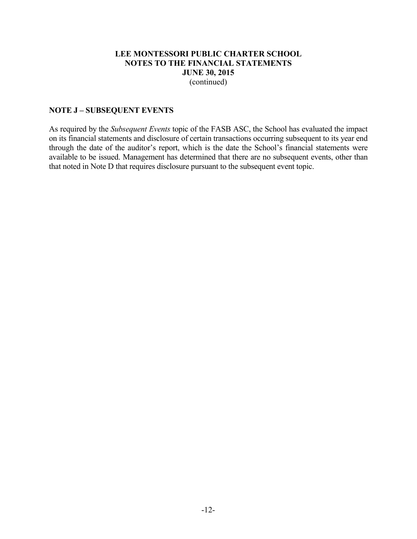# **NOTE J – SUBSEQUENT EVENTS**

As required by the *Subsequent Events* topic of the FASB ASC, the School has evaluated the impact on its financial statements and disclosure of certain transactions occurring subsequent to its year end through the date of the auditor's report, which is the date the School's financial statements were available to be issued. Management has determined that there are no subsequent events, other than that noted in Note D that requires disclosure pursuant to the subsequent event topic.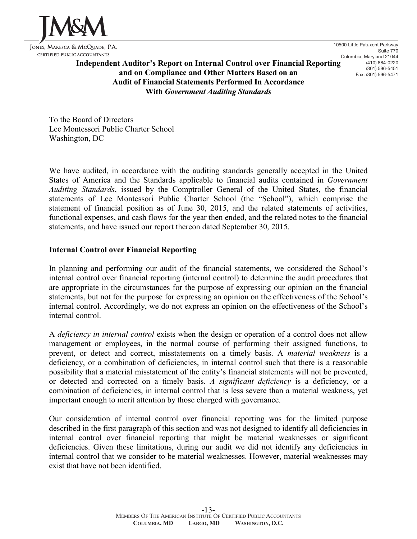

10500 Little Patuxent Parkway Suite 770 Columbia, Maryland 21044 (410) 884-0220 (301) 596-5451 Fax: (301) 596-5471

**Independent Auditor's Report on Internal Control over Financial Reporting and on Compliance and Other Matters Based on an Audit of Financial Statements Performed In Accordance With** *Government Auditing Standards*

To the Board of Directors Lee Montessori Public Charter School Washington, DC

We have audited, in accordance with the auditing standards generally accepted in the United States of America and the Standards applicable to financial audits contained in *Government Auditing Standards*, issued by the Comptroller General of the United States, the financial statements of Lee Montessori Public Charter School (the "School"), which comprise the statement of financial position as of June 30, 2015, and the related statements of activities, functional expenses, and cash flows for the year then ended, and the related notes to the financial statements, and have issued our report thereon dated September 30, 2015.

## **Internal Control over Financial Reporting**

In planning and performing our audit of the financial statements, we considered the School's internal control over financial reporting (internal control) to determine the audit procedures that are appropriate in the circumstances for the purpose of expressing our opinion on the financial statements, but not for the purpose for expressing an opinion on the effectiveness of the School's internal control. Accordingly, we do not express an opinion on the effectiveness of the School's internal control.

A *deficiency in internal control* exists when the design or operation of a control does not allow management or employees, in the normal course of performing their assigned functions, to prevent, or detect and correct, misstatements on a timely basis. A *material weakness* is a deficiency, or a combination of deficiencies, in internal control such that there is a reasonable possibility that a material misstatement of the entity's financial statements will not be prevented, or detected and corrected on a timely basis. *A significant deficiency* is a deficiency, or a combination of deficiencies, in internal control that is less severe than a material weakness, yet important enough to merit attention by those charged with governance.

Our consideration of internal control over financial reporting was for the limited purpose described in the first paragraph of this section and was not designed to identify all deficiencies in internal control over financial reporting that might be material weaknesses or significant deficiencies. Given these limitations, during our audit we did not identify any deficiencies in internal control that we consider to be material weaknesses. However, material weaknesses may exist that have not been identified.